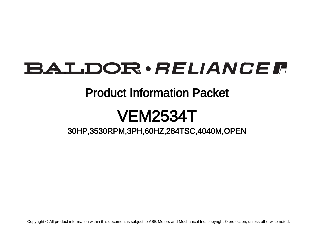# **BALDOR** · RELIANCE F

### Product Information Packet

# VEM2534T

### 30HP,3530RPM,3PH,60HZ,284TSC,4040M,OPEN

Copyright © All product information within this document is subject to ABB Motors and Mechanical Inc. copyright © protection, unless otherwise noted.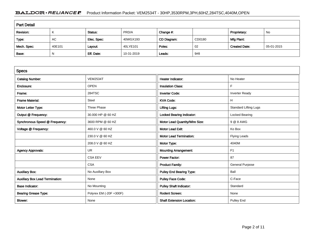#### BALDOR · RELIANCE F Product Information Packet: VEM2534T - 30HP,3530RPM,3PH,60HZ,284TSC,4040M,OPEN

| <b>Part Detail</b> |        |             |            |             |        |                      |            |  |  |
|--------------------|--------|-------------|------------|-------------|--------|----------------------|------------|--|--|
| Revision:          | K      | Status:     | PRD/A      | Change #:   |        | Proprietary:         | No         |  |  |
| Type:              | AC     | Elec. Spec: | 40WGX193   | CD Diagram: | CD0180 | Mfg Plant:           |            |  |  |
| Mech. Spec:        | 40E101 | Layout:     | 40LYE101   | Poles:      | 02     | <b>Created Date:</b> | 05-01-2015 |  |  |
| Base:              | N      | Eff. Date:  | 10-31-2019 | Leads:      | 9#8    |                      |            |  |  |

| <b>Specs</b>                           |                         |                                  |                              |
|----------------------------------------|-------------------------|----------------------------------|------------------------------|
| <b>Catalog Number:</b>                 | <b>VEM2534T</b>         | Heater Indicator:                | No Heater                    |
| Enclosure:                             | <b>OPEN</b>             | <b>Insulation Class:</b>         | F                            |
| Frame:                                 | 284TSC                  | <b>Inverter Code:</b>            | <b>Inverter Ready</b>        |
| <b>Frame Material:</b>                 | Steel                   | <b>KVA Code:</b>                 | H                            |
| Motor Letter Type:                     | Three Phase             | <b>Lifting Lugs:</b>             | <b>Standard Lifting Lugs</b> |
| Output @ Frequency:                    | 30.000 HP @ 60 HZ       | <b>Locked Bearing Indicator:</b> | Locked Bearing               |
| Synchronous Speed @ Frequency:         | 3600 RPM @ 60 HZ        | Motor Lead Quantity/Wire Size:   | 9 @ 8 AWG                    |
| Voltage @ Frequency:                   | 460.0 V @ 60 HZ         | <b>Motor Lead Exit:</b>          | Ko Box                       |
|                                        | 230.0 V @ 60 HZ         | <b>Motor Lead Termination:</b>   | <b>Flying Leads</b>          |
|                                        | 208.0 V @ 60 HZ         | Motor Type:                      | 4040M                        |
| <b>Agency Approvals:</b>               | UR                      | <b>Mounting Arrangement:</b>     | F <sub>1</sub>               |
|                                        | <b>CSA EEV</b>          | <b>Power Factor:</b>             | 87                           |
|                                        | <b>CSA</b>              | <b>Product Family:</b>           | <b>General Purpose</b>       |
| <b>Auxillary Box:</b>                  | No Auxillary Box        | <b>Pulley End Bearing Type:</b>  | Ball                         |
| <b>Auxillary Box Lead Termination:</b> | None                    | <b>Pulley Face Code:</b>         | C-Face                       |
| <b>Base Indicator:</b>                 | No Mounting             | <b>Pulley Shaft Indicator:</b>   | Standard                     |
| <b>Bearing Grease Type:</b>            | Polyrex EM (-20F +300F) | <b>Rodent Screen:</b>            | None                         |
| <b>Blower:</b>                         | None                    | <b>Shaft Extension Location:</b> | <b>Pulley End</b>            |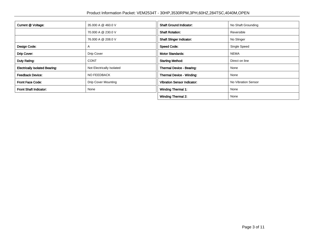| Current @ Voltage:                    | 35.000 A @ 460.0 V         | <b>Shaft Ground Indicator:</b>     | No Shaft Grounding  |
|---------------------------------------|----------------------------|------------------------------------|---------------------|
|                                       | 70,000 A @ 230.0 V         | <b>Shaft Rotation:</b>             | Reversible          |
|                                       | 76,000 A @ 208.0 V         | <b>Shaft Slinger Indicator:</b>    | No Slinger          |
| Design Code:                          | A                          | <b>Speed Code:</b>                 | Single Speed        |
| Drip Cover:                           | <b>Drip Cover</b>          | <b>Motor Standards:</b>            | <b>NEMA</b>         |
| Duty Rating:                          | <b>CONT</b>                | <b>Starting Method:</b>            | Direct on line      |
| <b>Electrically Isolated Bearing:</b> | Not Electrically Isolated  | Thermal Device - Bearing:          | None                |
| <b>Feedback Device:</b>               | NO FEEDBACK                | Thermal Device - Winding:          | None                |
| Front Face Code:                      | <b>Drip Cover Mounting</b> | <b>Vibration Sensor Indicator:</b> | No Vibration Sensor |
| Front Shaft Indicator:                | None                       | <b>Winding Thermal 1:</b>          | None                |
|                                       |                            | <b>Winding Thermal 2:</b>          | None                |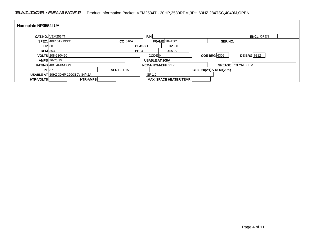#### BALDOR · RELIANCE F Product Information Packet: VEM2534T - 30HP,3530RPM,3PH,60HZ,284TSC,4040M,OPEN

| Nameplate NP3554LUA |                                            |                    |                |                    |                                |                           |                  |
|---------------------|--------------------------------------------|--------------------|----------------|--------------------|--------------------------------|---------------------------|------------------|
|                     | <b>CAT.NO. VEM2534T</b>                    |                    |                | P/N                |                                |                           | <b>ENCL</b> OPEN |
|                     | SPEC. 40E101X193G1                         |                    | $CC$ 010A      |                    | FRAME 284TSC                   | SER.NO.                   |                  |
| HP 30               |                                            |                    | <b>CLASS</b> F |                    | $HZ$ 60                        |                           |                  |
|                     | <b>RPM</b> 3530                            |                    | PH 3           |                    | <b>DES</b> A                   |                           |                  |
|                     | VOLTS 208-230/460                          |                    |                | CODE <sup>IH</sup> |                                | <b>ODE BRG 6309</b>       | DE BRG 6312      |
|                     | <b>AMPS</b> 76-70/35                       |                    |                | USABLE AT 208V     |                                |                           |                  |
|                     | RATING 40C AMB-CONT                        |                    |                | NEMA-NOM-EFF 91.7  |                                | <b>GREASE POLYREX EM</b>  |                  |
| PF 87               |                                            | <b>SER.F.</b> 1.15 |                |                    |                                | CT30-60(2:1) VT3-60(20:1) |                  |
|                     | <b>USABLE AT 50HZ 30HP 190/380V 84/42A</b> |                    |                | SF 1.0             |                                |                           |                  |
| <b>HTR-VOLTS</b>    | <b>HTR-AMPS</b>                            |                    |                |                    | <b>MAX. SPACE HEATER TEMP.</b> |                           |                  |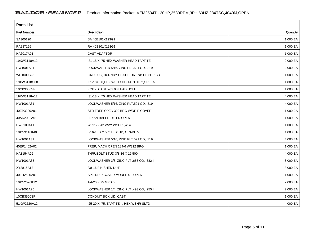| <b>Parts List</b> |                                           |          |
|-------------------|-------------------------------------------|----------|
| Part Number       | Description                               | Quantity |
| SA300120          | SA 40E101X193G1                           | 1.000 EA |
| RA287166          | RA 40E101X193G1                           | 1.000 EA |
| HA6017A01         | <b>CAST ADAPTOR</b>                       | 1.000 EA |
| 19XW3118A12       | .31-18 X .75 HEX WASHER HEAD TAPTITE II   | 2.000 EA |
| HW1001A31         | LOCKWASHER 5/16, ZINC PLT.591 OD, .319 I  | 2.000 EA |
| WD1000B25         | GND LUG, BURNDY L125HP OR T&B L125HP-BB   | 1.000 EA |
| 19XW3118G08       | .31-18X.50, HEX WSHR HD, TAPTITE 2, GREEN | 1.000 EA |
| 10CB3000SP        | KOBX, CAST W/2.00 LEAD HOLE               | 1.000 EA |
| 19XW3118A12       | .31-18 X .75 HEX WASHER HEAD TAPTITE II   | 4.000 EA |
| HW1001A31         | LOCKWASHER 5/16, ZINC PLT.591 OD, .319 I  | 4.000 EA |
| 40EP3200A01       | STD FREP OPEN 309 BRG W/DRIP COVER        | 1.000 EA |
| 40AD2002A01       | LEXAN BAFFLE 40 FR OPEN                   | 1.000 EA |
| HW5100A11         | W3917-042 WVY WSHR (WB)                   | 1.000 EA |
| 10XN3118K40       | 5/16-18 X 2.50" HEX HD, GRADE 5           | 4.000 EA |
| HW1001A31         | LOCKWASHER 5/16, ZINC PLT.591 OD, .319 I  | 4.000 EA |
| 40EP1402A02       | FREP, MACH OPEN 284-6 W/312 BRG           | 1.000 EA |
| HA3154A06         | THRUBOLT STUD 3/8-16 X 19.500             | 4.000 EA |
| HW1001A38         | LOCKWASHER 3/8, ZINC PLT .688 OD, .382 I  | 8.000 EA |
| XY3816A12         | 3/8-16 FINISHED NUT                       | 8.000 EA |
| 40FH2500A01       | SP'L DRIP COVER MODEL 40- OPEN            | 1.000 EA |
| 10XN2520K12       | 1/4-20 X.75 GRD 5                         | 2.000 EA |
| HW1001A25         | LOCKWASHER 1/4, ZINC PLT .493 OD, .255 I  | 2.000 EA |
| 10CB3500SP        | CONDUIT BOX LID, CAST                     | 1.000 EA |
| 51XW2520A12       | .25-20 X .75, TAPTITE II, HEX WSHR SLTD   | 4.000 EA |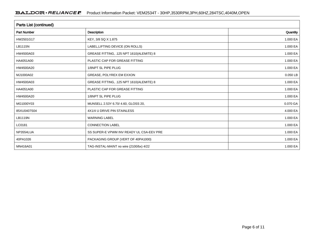| <b>Parts List (continued)</b> |                                          |          |  |  |  |  |
|-------------------------------|------------------------------------------|----------|--|--|--|--|
| <b>Part Number</b>            | <b>Description</b>                       | Quantity |  |  |  |  |
| HW2501G17                     | KEY, 3/8 SQ X 1.875                      | 1.000 EA |  |  |  |  |
| LB1115N                       | LABEL, LIFTING DEVICE (ON ROLLS)         | 1.000 EA |  |  |  |  |
| HW4500A03                     | GREASE FITTING, .125 NPT 1610(ALEMITE) 8 | 1.000 EA |  |  |  |  |
| HA4051A00                     | PLASTIC CAP FOR GREASE FITTING           | 1.000 EA |  |  |  |  |
| HW4500A20                     | 1/8NPT SL PIPE PLUG                      | 1.000 EA |  |  |  |  |
| MJ1000A02                     | GREASE, POLYREX EM EXXON                 | 0.050 LB |  |  |  |  |
| HW4500A03                     | GREASE FITTING, .125 NPT 1610(ALEMITE) 8 | 1.000 EA |  |  |  |  |
| HA4051A00                     | PLASTIC CAP FOR GREASE FITTING           | 1.000 EA |  |  |  |  |
| HW4500A20                     | 1/8NPT SL PIPE PLUG                      | 1.000 EA |  |  |  |  |
| MG1000Y03                     | MUNSELL 2.53Y 6.70/ 4.60, GLOSS 20,      | 0.070 GA |  |  |  |  |
| 85XU0407S04                   | 4X1/4 U DRIVE PIN STAINLESS              | 4.000 EA |  |  |  |  |
| LB1119N                       | <b>WARNING LABEL</b>                     | 1.000 EA |  |  |  |  |
| LC0181                        | <b>CONNECTION LABEL</b>                  | 1.000 EA |  |  |  |  |
| NP3554LUA                     | SS SUPER-E VPWM INV READY UL CSA-EEV PRE | 1.000 EA |  |  |  |  |
| 40PA1026                      | PACKAGING GROUP (VERT OF 40PA1000)       | 1.000 EA |  |  |  |  |
| MN416A01                      | TAG-INSTAL-MAINT no wire (2100/bx) 4/22  | 1.000 EA |  |  |  |  |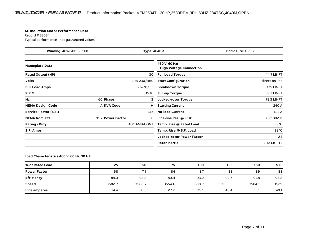#### **AC Induction Motor Performance Data**

Record # 33084Typical performance - not guaranteed values

| <b>Winding: 40WGX193-R001</b><br><b>Type: 4040M</b> |                   | <b>Enclosure: OPSB</b> |                                                 |                  |
|-----------------------------------------------------|-------------------|------------------------|-------------------------------------------------|------------------|
| <b>Nameplate Data</b>                               |                   |                        | 460 V, 60 Hz:<br><b>High Voltage Connection</b> |                  |
| <b>Rated Output (HP)</b>                            |                   | 30                     | <b>Full Load Torque</b>                         | 44.7 LB-FT       |
| <b>Volts</b>                                        |                   | 208-230/460            | <b>Start Configuration</b>                      | direct on line   |
| <b>Full Load Amps</b>                               |                   | 76-70/35               | <b>Breakdown Torque</b>                         | 175 LB-FT        |
| <b>R.P.M.</b>                                       |                   | 3530                   | <b>Pull-up Torque</b>                           | 59.3 LB-FT       |
| Hz                                                  | 60 Phase          | 3                      | <b>Locked-rotor Torque</b>                      | 78.3 LB-FT       |
| <b>NEMA Design Code</b>                             | A KVA Code        | н                      | <b>Starting Current</b>                         | 240 A            |
| <b>Service Factor (S.F.)</b>                        |                   | 1.15                   | <b>No-load Current</b>                          | 11.2A            |
| <b>NEMA Nom. Eff.</b>                               | 91.7 Power Factor | 0                      | Line-line Res. @ 25°C                           | $0.21802 \Omega$ |
| <b>Rating - Duty</b>                                |                   | 40C AMB-CONT           | Temp. Rise @ Rated Load                         | $23^{\circ}$ C   |
| S.F. Amps                                           |                   |                        | Temp. Rise @ S.F. Load                          | $28^{\circ}$ C   |
|                                                     |                   |                        | <b>Locked-rotor Power Factor</b>                | 24               |
|                                                     |                   |                        | Rotor inertia                                   | 1.72 LB-FT2      |

#### **Load Characteristics 460 V, 60 Hz, 30 HP**

| % of Rated Load     | 25     | 50     | 75     | 100    | 125    | 150    | S.F. |
|---------------------|--------|--------|--------|--------|--------|--------|------|
| <b>Power Factor</b> | 58     | 77     | 84     | 87     | 88     | 89     | 88   |
| <b>Efficiency</b>   | 89.3   | 92.8   | 93.4   | 93.2   | 92.6   | 91.8   | 92.8 |
| Speed               | 3582.7 | 3568.7 | 3554.6 | 3538.7 | 3522.3 | 3504.1 | 3529 |
| Line amperes        | 14.4   | 20.3   | 27.2   | 35.1   | 43.4   | 52.1   | 40.1 |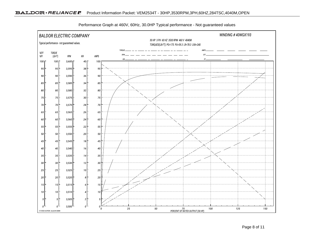

Performance Graph at 460V, 60Hz, 30.0HP Typical performance - Not guaranteed values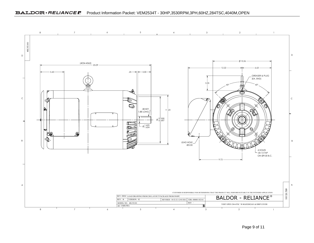#### BALDOR · RELIANCE <sup>P</sup> Product Information Packet: VEM2534T - 30HP,3530RPM,3PH,60HZ,284TSC,4040M,OPEN



Page 9 of 11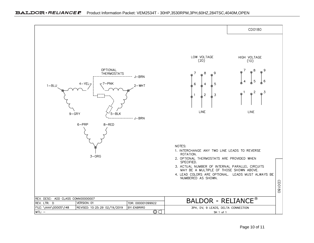